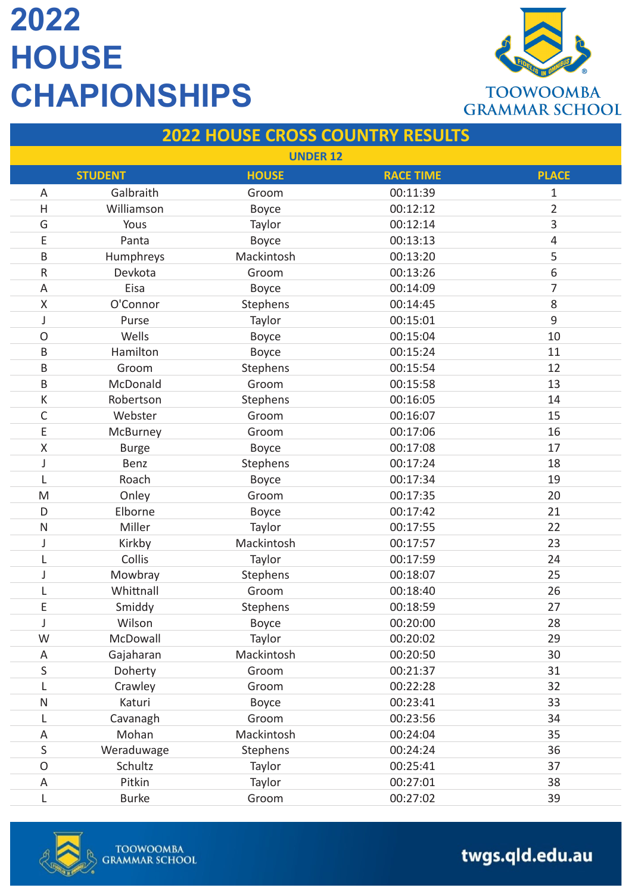

#### **2022 HOUSE CROSS COUNTRY RESULTS UNDER 12 STUDENT HOUSE RACE TIME PLACE** A Galbraith Groom 00:11:39 1 H Williamson Boyce 00:12:12 2 G Yous Taylor 00:12:14 3 E Panta Boyce 00:13:13 4 B Humphreys Mackintosh 00:13:20 5 R Devkota Groom 00:13:26 6 A Eisa Boyce 00:14:09 7 X O'Connor Stephens 00:14:45 8 J Purse Taylor COO:15:01 9 O Wells Boyce 00:15:04 10 B Hamilton Boyce 00:15:24 11 B Groom Stephens 00:15:54 12 B McDonald Groom 00:15:58 13 K Robertson Stephens 00:16:05 14 C Webster Groom 00:16:07 15 E McBurney Groom 00:17:06 16 X Burge Boyce 00:17:08 17 J Benz Stephens 00:17:24 18 L Roach Boyce 00:17:34 19 M Onley Groom 00:17:35 20 D Elborne Boyce 00:17:42 21 N Miller Taylor 00:17:55 22 J Kirkby Mackintosh 00:17:57 23 L Collis Taylor 00:17:59 24 J Mowbray Stephens 00:18:07 25 L Whittnall Groom 00:18:40 26 E Smiddy Stephens 00:18:59 27 J Wilson Boyce 00:20:00 28 W McDowall Taylor 00:20:02 29 A Gajaharan Mackintosh 00:20:50 30 S Doherty Groom 00:21:37 31 L Crawley Groom 00:22:28 32 N Katuri Boyce 00:23:41 33 L Cavanagh Groom 00:23:56 34 A Mohan Mackintosh 00:24:04 35 S Weraduwage Stephens 00:24:24 36 O Schultz Taylor 00:25:41 37 A Pitkin Taylor 00:27:01 38

L Burke Groom 00:27:02 39

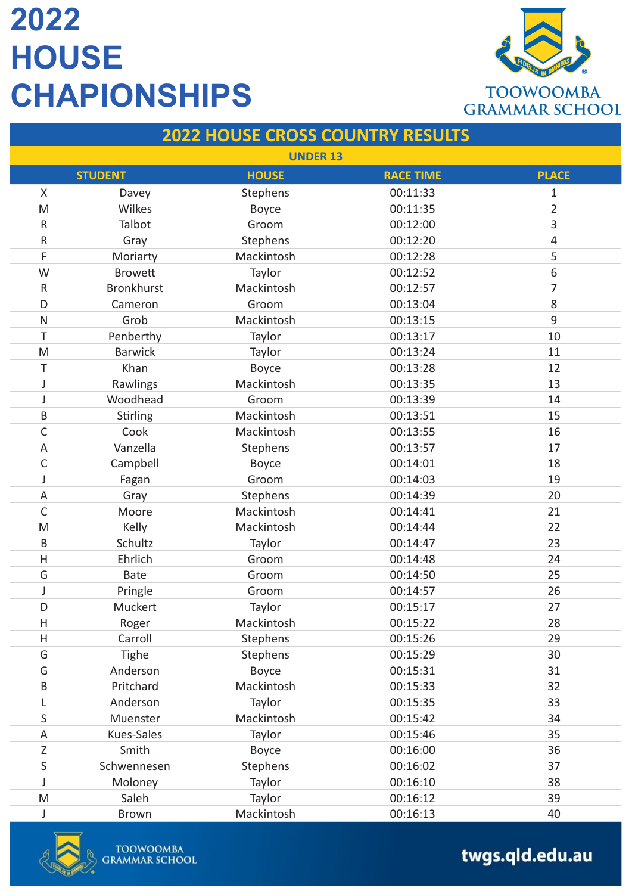

### **2022 HOUSE CROSS COUNTRY RESULTS**

|                                                                                       |                   | <b>UNDER 13</b> |                  |                         |
|---------------------------------------------------------------------------------------|-------------------|-----------------|------------------|-------------------------|
|                                                                                       | <b>STUDENT</b>    | <b>HOUSE</b>    | <b>RACE TIME</b> | <b>PLACE</b>            |
| Χ                                                                                     | Davey             | Stephens        | 00:11:33         | 1                       |
| M                                                                                     | Wilkes            | <b>Boyce</b>    | 00:11:35         | $\overline{2}$          |
| $\mathsf R$                                                                           | Talbot            | Groom           | 00:12:00         | 3                       |
| ${\sf R}$                                                                             | Gray              | Stephens        | 00:12:20         | $\overline{\mathbf{4}}$ |
| F                                                                                     | Moriarty          | Mackintosh      | 00:12:28         | 5                       |
| W                                                                                     | <b>Browett</b>    | Taylor          | 00:12:52         | 6                       |
| ${\sf R}$                                                                             | <b>Bronkhurst</b> | Mackintosh      | 00:12:57         | 7                       |
| D                                                                                     | Cameron           | Groom           | 00:13:04         | 8                       |
| $\mathsf{N}$                                                                          | Grob              | Mackintosh      | 00:13:15         | $\mathsf g$             |
| Τ                                                                                     | Penberthy         | Taylor          | 00:13:17         | 10                      |
| M                                                                                     | <b>Barwick</b>    | Taylor          | 00:13:24         | 11                      |
| Τ                                                                                     | Khan              | Boyce           | 00:13:28         | 12                      |
| J                                                                                     | Rawlings          | Mackintosh      | 00:13:35         | 13                      |
| J                                                                                     | Woodhead          | Groom           | 00:13:39         | 14                      |
| B                                                                                     | Stirling          | Mackintosh      | 00:13:51         | 15                      |
| $\mathsf C$                                                                           | Cook              | Mackintosh      | 00:13:55         | 16                      |
| A                                                                                     | Vanzella          | Stephens        | 00:13:57         | 17                      |
| $\mathsf C$                                                                           | Campbell          | Boyce           | 00:14:01         | 18                      |
| J                                                                                     | Fagan             | Groom           | 00:14:03         | 19                      |
| A                                                                                     | Gray              | Stephens        | 00:14:39         | 20                      |
| $\mathsf{C}$                                                                          | Moore             | Mackintosh      | 00:14:41         | 21                      |
| M                                                                                     | Kelly             | Mackintosh      | 00:14:44         | 22                      |
| B                                                                                     | Schultz           | Taylor          | 00:14:47         | 23                      |
| $\overline{\mathsf{H}}$                                                               | Ehrlich           | Groom           | 00:14:48         | 24                      |
| G                                                                                     | <b>Bate</b>       | Groom           | 00:14:50         | 25                      |
| J                                                                                     | Pringle           | Groom           | 00:14:57         | 26                      |
| D                                                                                     | Muckert           | Taylor          | 00:15:17         | 27                      |
| $\overline{H}$                                                                        | Roger             | Mackintosh      | 00:15:22         | 28                      |
| Н                                                                                     | Carroll           | Stephens        | 00:15:26         | 29                      |
| G                                                                                     | Tighe             | Stephens        | 00:15:29         | 30                      |
| G                                                                                     | Anderson          | Boyce           | 00:15:31         | 31                      |
| $\sf B$                                                                               | Pritchard         | Mackintosh      | 00:15:33         | 32                      |
| L                                                                                     | Anderson          | Taylor          | 00:15:35         | 33                      |
| $\sf S$                                                                               | Muenster          | Mackintosh      | 00:15:42         | 34                      |
| A                                                                                     | Kues-Sales        | Taylor          | 00:15:46         | 35                      |
| Ζ                                                                                     | Smith             | <b>Boyce</b>    | 00:16:00         | 36                      |
| $\sf S$                                                                               | Schwennesen       | Stephens        | 00:16:02         | 37                      |
| J                                                                                     | Moloney           | Taylor          | 00:16:10         | 38                      |
| $\mathsf{M}% _{T}=\mathsf{M}_{T}\!\left( a,b\right) ,\ \mathsf{M}_{T}=\mathsf{M}_{T}$ | Saleh             | Taylor          | 00:16:12         | 39                      |
| J                                                                                     | <b>Brown</b>      | Mackintosh      | 00:16:13         | 40                      |

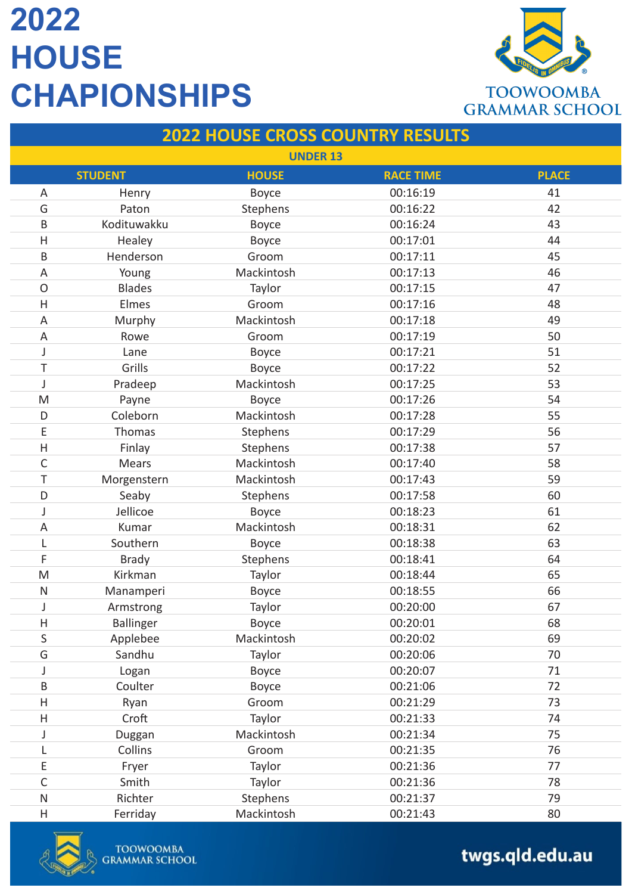

### **2022 HOUSE CROSS COUNTRY RESULTS**

|                           |                  | <b>UNDER 13</b> |                  |              |
|---------------------------|------------------|-----------------|------------------|--------------|
|                           | <b>STUDENT</b>   | <b>HOUSE</b>    | <b>RACE TIME</b> | <b>PLACE</b> |
| Α                         | Henry            | <b>Boyce</b>    | 00:16:19         | 41           |
| G                         | Paton            | Stephens        | 00:16:22         | 42           |
| B                         | Kodituwakku      | <b>Boyce</b>    | 00:16:24         | 43           |
| $\mathsf{H}$              | Healey           | <b>Boyce</b>    | 00:17:01         | 44           |
| $\sf B$                   | Henderson        | Groom           | 00:17:11         | 45           |
| $\mathsf A$               | Young            | Mackintosh      | 00:17:13         | 46           |
| $\mathsf O$               | <b>Blades</b>    | Taylor          | 00:17:15         | 47           |
| H                         | Elmes            | Groom           | 00:17:16         | 48           |
| A                         | Murphy           | Mackintosh      | 00:17:18         | 49           |
| A                         | Rowe             | Groom           | 00:17:19         | 50           |
| J                         | Lane             | Boyce           | 00:17:21         | 51           |
| T                         | Grills           | Boyce           | 00:17:22         | 52           |
| J                         | Pradeep          | Mackintosh      | 00:17:25         | 53           |
| M                         | Payne            | <b>Boyce</b>    | 00:17:26         | 54           |
| D                         | Coleborn         | Mackintosh      | 00:17:28         | 55           |
| E                         | Thomas           | Stephens        | 00:17:29         | 56           |
| $\mathsf{H}$              | Finlay           | Stephens        | 00:17:38         | 57           |
| $\mathsf C$               | <b>Mears</b>     | Mackintosh      | 00:17:40         | 58           |
| Τ                         | Morgenstern      | Mackintosh      | 00:17:43         | 59           |
| D                         | Seaby            | Stephens        | 00:17:58         | 60           |
| J                         | Jellicoe         | <b>Boyce</b>    | 00:18:23         | 61           |
| A                         | Kumar            | Mackintosh      | 00:18:31         | 62           |
| L                         | Southern         | Boyce           | 00:18:38         | 63           |
| F                         | <b>Brady</b>     | Stephens        | 00:18:41         | 64           |
| M                         | Kirkman          | Taylor          | 00:18:44         | 65           |
| $\mathsf{N}$              | Manamperi        | <b>Boyce</b>    | 00:18:55         | 66           |
| J                         | Armstrong        | Taylor          | 00:20:00         | 67           |
| H                         | <b>Ballinger</b> | Boyce           | 00:20:01         | 68           |
| S                         | Applebee         | Mackintosh      | 00:20:02         | 69           |
| G                         | Sandhu           | Taylor          | 00:20:06         | 70           |
| J                         | Logan            | Boyce           | 00:20:07         | 71           |
| B                         | Coulter          | <b>Boyce</b>    | 00:21:06         | 72           |
| Η                         | Ryan             | Groom           | 00:21:29         | 73           |
| $\boldsymbol{\mathsf{H}}$ | Croft            | Taylor          | 00:21:33         | 74           |
| J                         | Duggan           | Mackintosh      | 00:21:34         | 75           |
| L                         | Collins          | Groom           | 00:21:35         | 76           |
| Ε                         | Fryer            | Taylor          | 00:21:36         | 77           |
| $\mathsf C$               | Smith            | Taylor          | 00:21:36         | 78           |
| ${\sf N}$                 | Richter          | Stephens        | 00:21:37         | 79           |
| $\boldsymbol{\mathsf{H}}$ | Ferriday         | Mackintosh      | 00:21:43         | 80           |

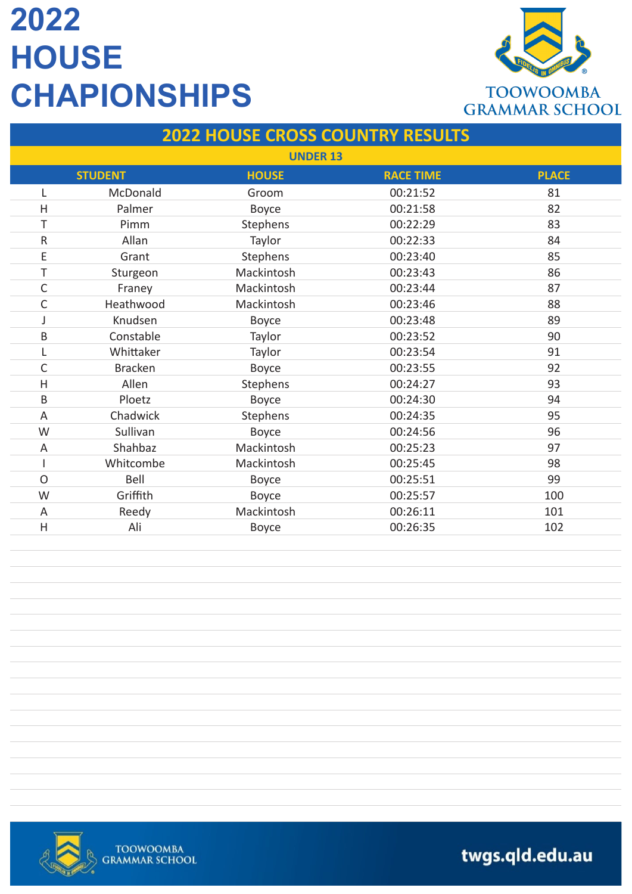

#### **2022 HOUSE CROSS COUNTRY RESULTS**

|                         | <b>UNDER 13</b> |              |                  |              |  |
|-------------------------|-----------------|--------------|------------------|--------------|--|
|                         | <b>STUDENT</b>  | <b>HOUSE</b> | <b>RACE TIME</b> | <b>PLACE</b> |  |
| L                       | McDonald        | Groom        | 00:21:52         | 81           |  |
| $\overline{H}$          | Palmer          | Boyce        | 00:21:58         | 82           |  |
| T                       | Pimm            | Stephens     | 00:22:29         | 83           |  |
| ${\sf R}$               | Allan           | Taylor       | 00:22:33         | 84           |  |
| E                       | Grant           | Stephens     | 00:23:40         | 85           |  |
| Τ                       | Sturgeon        | Mackintosh   | 00:23:43         | 86           |  |
| C                       | Franey          | Mackintosh   | 00:23:44         | 87           |  |
| C                       | Heathwood       | Mackintosh   | 00:23:46         | 88           |  |
| J                       | Knudsen         | <b>Boyce</b> | 00:23:48         | 89           |  |
| B                       | Constable       | Taylor       | 00:23:52         | 90           |  |
| L                       | Whittaker       | Taylor       | 00:23:54         | 91           |  |
| $\mathsf{C}$            | <b>Bracken</b>  | Boyce        | 00:23:55         | 92           |  |
| $\overline{\mathsf{H}}$ | Allen           | Stephens     | 00:24:27         | 93           |  |
| B                       | Ploetz          | Boyce        | 00:24:30         | 94           |  |
| A                       | Chadwick        | Stephens     | 00:24:35         | 95           |  |
| W                       | Sullivan        | Boyce        | 00:24:56         | 96           |  |
| A                       | Shahbaz         | Mackintosh   | 00:25:23         | 97           |  |
|                         | Whitcombe       | Mackintosh   | 00:25:45         | 98           |  |
| $\overline{O}$          | Bell            | <b>Boyce</b> | 00:25:51         | 99           |  |
| W                       | Griffith        | <b>Boyce</b> | 00:25:57         | 100          |  |
| A                       | Reedy           | Mackintosh   | 00:26:11         | 101          |  |
| $\overline{H}$          | Ali             | <b>Boyce</b> | 00:26:35         | 102          |  |

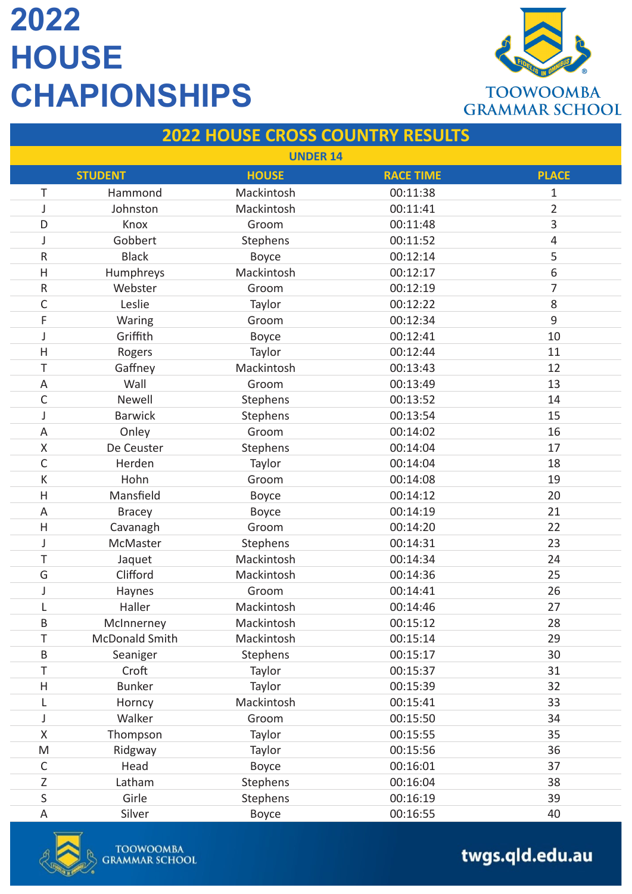

#### **2022 HOUSE CROSS COUNTRY RESULTS**

| <b>UNDER 14</b>           |                       |              |                  |                |
|---------------------------|-----------------------|--------------|------------------|----------------|
|                           | <b>STUDENT</b>        | <b>HOUSE</b> | <b>RACE TIME</b> | <b>PLACE</b>   |
| Τ                         | Hammond               | Mackintosh   | 00:11:38         | $\mathbf{1}$   |
| J                         | Johnston              | Mackintosh   | 00:11:41         | $\overline{2}$ |
| D                         | Knox                  | Groom        | 00:11:48         | 3              |
| J                         | Gobbert               | Stephens     | 00:11:52         | 4              |
| R                         | <b>Black</b>          | Boyce        | 00:12:14         | 5              |
| H                         | Humphreys             | Mackintosh   | 00:12:17         | 6              |
| ${\sf R}$                 | Webster               | Groom        | 00:12:19         | 7              |
| C                         | Leslie                | Taylor       | 00:12:22         | 8              |
| F                         | Waring                | Groom        | 00:12:34         | 9              |
| J                         | Griffith              | <b>Boyce</b> | 00:12:41         | 10             |
| $\mathsf{H}$              | Rogers                | Taylor       | 00:12:44         | 11             |
| Τ                         | Gaffney               | Mackintosh   | 00:13:43         | 12             |
| A                         | Wall                  | Groom        | 00:13:49         | 13             |
| C                         | Newell                | Stephens     | 00:13:52         | 14             |
| J                         | <b>Barwick</b>        | Stephens     | 00:13:54         | 15             |
| $\mathsf A$               | Onley                 | Groom        | 00:14:02         | 16             |
| $\sf X$                   | De Ceuster            | Stephens     | 00:14:04         | 17             |
| $\mathsf C$               | Herden                | Taylor       | 00:14:04         | 18             |
| К                         | Hohn                  | Groom        | 00:14:08         | 19             |
| H                         | Mansfield             | <b>Boyce</b> | 00:14:12         | 20             |
| A                         | <b>Bracey</b>         | <b>Boyce</b> | 00:14:19         | 21             |
| H                         | Cavanagh              | Groom        | 00:14:20         | 22             |
| J                         | McMaster              | Stephens     | 00:14:31         | 23             |
| T                         | Jaquet                | Mackintosh   | 00:14:34         | 24             |
| G                         | Clifford              | Mackintosh   | 00:14:36         | 25             |
| J                         | Haynes                | Groom        | 00:14:41         | 26             |
| L                         | Haller                | Mackintosh   | 00:14:46         | 27             |
| B                         | McInnerney            | Mackintosh   | 00:15:12         | 28             |
| T                         | <b>McDonald Smith</b> | Mackintosh   | 00:15:14         | 29             |
| $\sf B$                   | Seaniger              | Stephens     | 00:15:17         | 30             |
| Τ                         | Croft                 | Taylor       | 00:15:37         | 31             |
| $\boldsymbol{\mathsf{H}}$ | <b>Bunker</b>         | Taylor       | 00:15:39         | 32             |
| L                         | Horncy                | Mackintosh   | 00:15:41         | 33             |
| J                         | Walker                | Groom        | 00:15:50         | 34             |
| X                         | Thompson              | Taylor       | 00:15:55         | 35             |
| M                         | Ridgway               | Taylor       | 00:15:56         | 36             |
| $\mathsf C$               | Head                  | <b>Boyce</b> | 00:16:01         | 37             |
| Ζ                         | Latham                | Stephens     | 00:16:04         | 38             |
| S                         | Girle                 | Stephens     | 00:16:19         | 39             |
| A                         | Silver                | Boyce        | 00:16:55         | 40             |

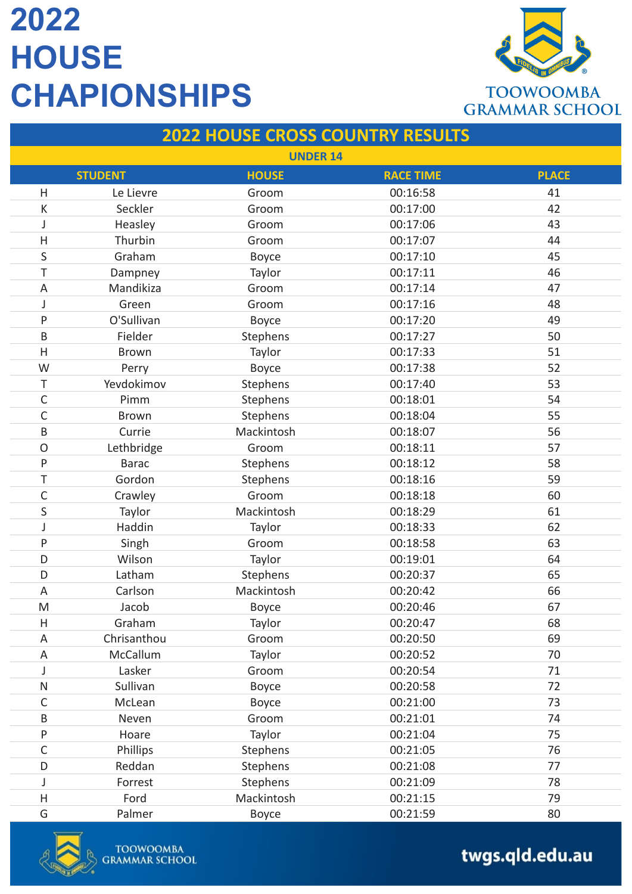

#### **2022 HOUSE CROSS COUNTRY RESULTS**

| <b>UNDER 14</b>           |                |              |                  |              |
|---------------------------|----------------|--------------|------------------|--------------|
|                           | <b>STUDENT</b> | <b>HOUSE</b> | <b>RACE TIME</b> | <b>PLACE</b> |
| H                         | Le Lievre      | Groom        | 00:16:58         | 41           |
| К                         | Seckler        | Groom        | 00:17:00         | 42           |
| J                         | Heasley        | Groom        | 00:17:06         | 43           |
| $\mathsf H$               | Thurbin        | Groom        | 00:17:07         | 44           |
| $\sf S$                   | Graham         | Boyce        | 00:17:10         | 45           |
| T                         | Dampney        | Taylor       | 00:17:11         | 46           |
| A                         | Mandikiza      | Groom        | 00:17:14         | 47           |
| J                         | Green          | Groom        | 00:17:16         | 48           |
| P                         | O'Sullivan     | Boyce        | 00:17:20         | 49           |
| $\sf B$                   | Fielder        | Stephens     | 00:17:27         | 50           |
| H                         | <b>Brown</b>   | Taylor       | 00:17:33         | 51           |
| W                         | Perry          | <b>Boyce</b> | 00:17:38         | 52           |
| Τ                         | Yevdokimov     | Stephens     | 00:17:40         | 53           |
| $\mathsf C$               | Pimm           | Stephens     | 00:18:01         | 54           |
| $\mathsf C$               | <b>Brown</b>   | Stephens     | 00:18:04         | 55           |
| B                         | Currie         | Mackintosh   | 00:18:07         | 56           |
| $\mathsf O$               | Lethbridge     | Groom        | 00:18:11         | 57           |
| P                         | <b>Barac</b>   | Stephens     | 00:18:12         | 58           |
| T                         | Gordon         | Stephens     | 00:18:16         | 59           |
| $\mathsf C$               | Crawley        | Groom        | 00:18:18         | 60           |
| S                         | Taylor         | Mackintosh   | 00:18:29         | 61           |
| J                         | Haddin         | Taylor       | 00:18:33         | 62           |
| P                         | Singh          | Groom        | 00:18:58         | 63           |
| D                         | Wilson         | Taylor       | 00:19:01         | 64           |
| D                         | Latham         | Stephens     | 00:20:37         | 65           |
| $\mathsf A$               | Carlson        | Mackintosh   | 00:20:42         | 66           |
| M                         | Jacob          | <b>Boyce</b> | 00:20:46         | 67           |
| $\boldsymbol{\mathsf{H}}$ | Graham         | Taylor       | 00:20:47         | 68           |
| A                         | Chrisanthou    | Groom        | 00:20:50         | 69           |
| A                         | McCallum       | Taylor       | 00:20:52         | 70           |
| J                         | Lasker         | Groom        | 00:20:54         | 71           |
| ${\sf N}$                 | Sullivan       | Boyce        | 00:20:58         | 72           |
| $\mathsf C$               | McLean         | Boyce        | 00:21:00         | 73           |
| B                         | Neven          | Groom        | 00:21:01         | 74           |
| P                         | Hoare          | Taylor       | 00:21:04         | 75           |
| $\mathsf C$               | Phillips       | Stephens     | 00:21:05         | 76           |
| D                         | Reddan         | Stephens     | 00:21:08         | 77           |
| J                         | Forrest        | Stephens     | 00:21:09         | 78           |
| H                         | Ford           | Mackintosh   | 00:21:15         | 79           |
| G                         | Palmer         | Boyce        | 00:21:59         | 80           |

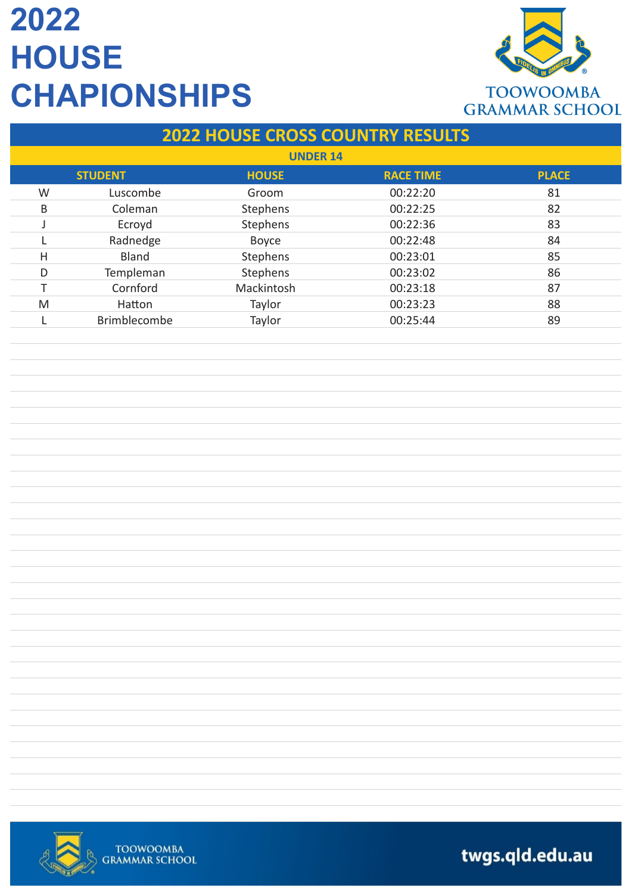

### **2022 HOUSE CROSS COUNTRY RESULTS**

| <b>UNDER 14</b> |                |              |                  |              |  |
|-----------------|----------------|--------------|------------------|--------------|--|
|                 | <b>STUDENT</b> | <b>HOUSE</b> | <b>RACE TIME</b> | <b>PLACE</b> |  |
| W               | Luscombe       | Groom        | 00:22:20         | 81           |  |
| B               | Coleman        | Stephens     | 00:22:25         | 82           |  |
|                 | Ecroyd         | Stephens     | 00:22:36         | 83           |  |
|                 | Radnedge       | Boyce        | 00:22:48         | 84           |  |
| Н               | Bland          | Stephens     | 00:23:01         | 85           |  |
| D               | Templeman      | Stephens     | 00:23:02         | 86           |  |
|                 | Cornford       | Mackintosh   | 00:23:18         | 87           |  |
| M               | Hatton         | Taylor       | 00:23:23         | 88           |  |
|                 | Brimblecombe   | Taylor       | 00:25:44         | 89           |  |

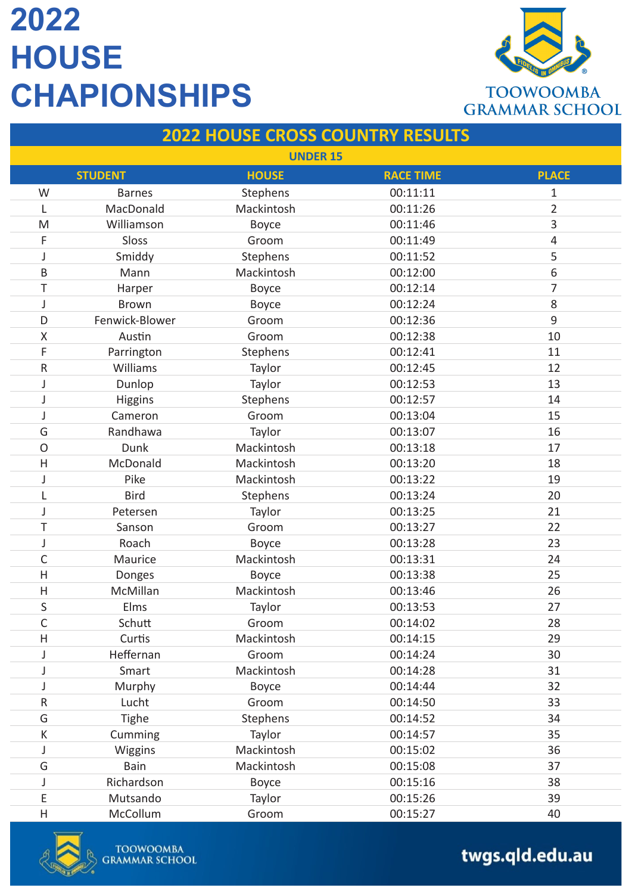

### **2022 HOUSE CROSS COUNTRY RESULTS**

| <b>UNDER 15</b> |                |              |                  |                |
|-----------------|----------------|--------------|------------------|----------------|
|                 | <b>STUDENT</b> | <b>HOUSE</b> | <b>RACE TIME</b> | <b>PLACE</b>   |
| W               | <b>Barnes</b>  | Stephens     | 00:11:11         | $\mathbf 1$    |
| L               | MacDonald      | Mackintosh   | 00:11:26         | $\overline{2}$ |
| M               | Williamson     | <b>Boyce</b> | 00:11:46         | 3              |
| F               | Sloss          | Groom        | 00:11:49         | $\overline{4}$ |
| J               | Smiddy         | Stephens     | 00:11:52         | 5              |
| B               | Mann           | Mackintosh   | 00:12:00         | 6              |
| Τ               | Harper         | <b>Boyce</b> | 00:12:14         | 7              |
| J               | <b>Brown</b>   | <b>Boyce</b> | 00:12:24         | 8              |
| D               | Fenwick-Blower | Groom        | 00:12:36         | $\mathsf 9$    |
| Χ               | Austin         | Groom        | 00:12:38         | 10             |
| F               | Parrington     | Stephens     | 00:12:41         | 11             |
| ${\sf R}$       | Williams       | Taylor       | 00:12:45         | 12             |
| J               | Dunlop         | Taylor       | 00:12:53         | 13             |
| J               | <b>Higgins</b> | Stephens     | 00:12:57         | 14             |
| J               | Cameron        | Groom        | 00:13:04         | 15             |
| G               | Randhawa       | Taylor       | 00:13:07         | 16             |
| $\circ$         | Dunk           | Mackintosh   | 00:13:18         | 17             |
| $\mathsf{H}$    | McDonald       | Mackintosh   | 00:13:20         | 18             |
| J               | Pike           | Mackintosh   | 00:13:22         | 19             |
| L               | <b>Bird</b>    | Stephens     | 00:13:24         | 20             |
| J               | Petersen       | Taylor       | 00:13:25         | 21             |
| Τ               | Sanson         | Groom        | 00:13:27         | 22             |
| J               | Roach          | Boyce        | 00:13:28         | 23             |
| $\mathsf C$     | Maurice        | Mackintosh   | 00:13:31         | 24             |
| H               | Donges         | Boyce        | 00:13:38         | 25             |
| H               | McMillan       | Mackintosh   | 00:13:46         | 26             |
| S               | Elms           | Taylor       | 00:13:53         | 27             |
| C               | Schutt         | Groom        | 00:14:02         | 28             |
| Η               | Curtis         | Mackintosh   | 00:14:15         | 29             |
| J               | Heffernan      | Groom        | 00:14:24         | 30             |
| J               | Smart          | Mackintosh   | 00:14:28         | 31             |
| J               | Murphy         | Boyce        | 00:14:44         | 32             |
| ${\sf R}$       | Lucht          | Groom        | 00:14:50         | 33             |
| G               | Tighe          | Stephens     | 00:14:52         | 34             |
| К               | Cumming        | Taylor       | 00:14:57         | 35             |
| J               | Wiggins        | Mackintosh   | 00:15:02         | 36             |
| G               | Bain           | Mackintosh   | 00:15:08         | 37             |
| J               | Richardson     | <b>Boyce</b> | 00:15:16         | 38             |
| E               | Mutsando       | Taylor       | 00:15:26         | 39             |
| Н               | McCollum       | Groom        | 00:15:27         | 40             |

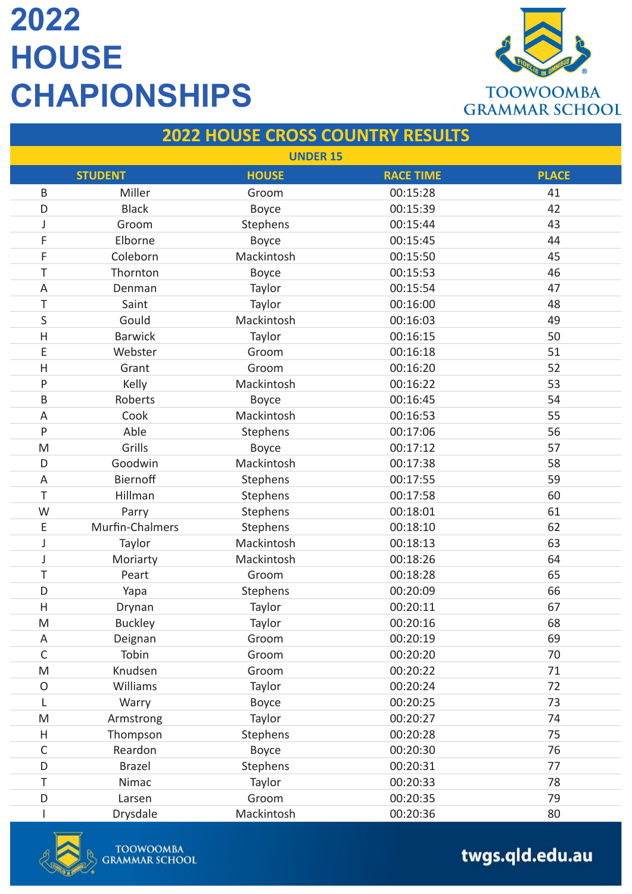

#### **2022 HOUSE CROSS COUNTRY RESULTS**

| <b>UNDER 15</b> |                 |              |                  |              |
|-----------------|-----------------|--------------|------------------|--------------|
|                 | <b>STUDENT</b>  | <b>HOUSE</b> | <b>RACE TIME</b> | <b>PLACE</b> |
| B               | Miller          | Groom        | 00:15:28         | 41           |
| D               | <b>Black</b>    | Boyce        | 00:15:39         | 42           |
| J               | Groom           | Stephens     | 00:15:44         | 43           |
| F               | Elborne         | Boyce        | 00:15:45         | 44           |
| F               | Coleborn        | Mackintosh   | 00:15:50         | 45           |
| T               | Thornton        | <b>Boyce</b> | 00:15:53         | 46           |
| A               | Denman          | Taylor       | 00:15:54         | 47           |
| Τ               | Saint           | Taylor       | 00:16:00         | 48           |
| S               | Gould           | Mackintosh   | 00:16:03         | 49           |
| $\mathsf{H}$    | <b>Barwick</b>  | Taylor       | 00:16:15         | 50           |
| E               | Webster         | Groom        | 00:16:18         | 51           |
| $\mathsf{H}$    | Grant           | Groom        | 00:16:20         | 52           |
| P               | Kelly           | Mackintosh   | 00:16:22         | 53           |
| B               | Roberts         | Boyce        | 00:16:45         | 54           |
| A               | Cook            | Mackintosh   | 00:16:53         | 55           |
| P               | Able            | Stephens     | 00:17:06         | 56           |
| M               | Grills          | Boyce        | 00:17:12         | 57           |
| D               | Goodwin         | Mackintosh   | 00:17:38         | 58           |
| A               | Biernoff        | Stephens     | 00:17:55         | 59           |
| T               | Hillman         | Stephens     | 00:17:58         | 60           |
| W               | Parry           | Stephens     | 00:18:01         | 61           |
| E               | Murfin-Chalmers | Stephens     | 00:18:10         | 62           |
| J               | Taylor          | Mackintosh   | 00:18:13         | 63           |
| J               | Moriarty        | Mackintosh   | 00:18:26         | 64           |
| Τ               | Peart           | Groom        | 00:18:28         | 65           |
| D               | Yapa            | Stephens     | 00:20:09         | 66           |
| H               | Drynan          | Taylor       | 00:20:11         | 67           |
| M               | <b>Buckley</b>  | Taylor       | 00:20:16         | 68           |
| Α               | Deignan         | Groom        | 00:20:19         | 69           |
| $\mathsf C$     | Tobin           | Groom        | 00:20:20         | 70           |
| M               | Knudsen         | Groom        | 00:20:22         | 71           |
| $\circ$         | Williams        | Taylor       | 00:20:24         | 72           |
| L               | Warry           | Boyce        | 00:20:25         | 73           |
| M               | Armstrong       | Taylor       | 00:20:27         | 74           |
| Η               | Thompson        | Stephens     | 00:20:28         | 75           |
| C               | Reardon         | Boyce        | 00:20:30         | 76           |
| D               | <b>Brazel</b>   | Stephens     | 00:20:31         | 77           |
| Τ               | Nimac           | Taylor       | 00:20:33         | 78           |
| D               | Larsen          | Groom        | 00:20:35         | 79           |
|                 | Drysdale        | Mackintosh   | 00:20:36         | 80           |

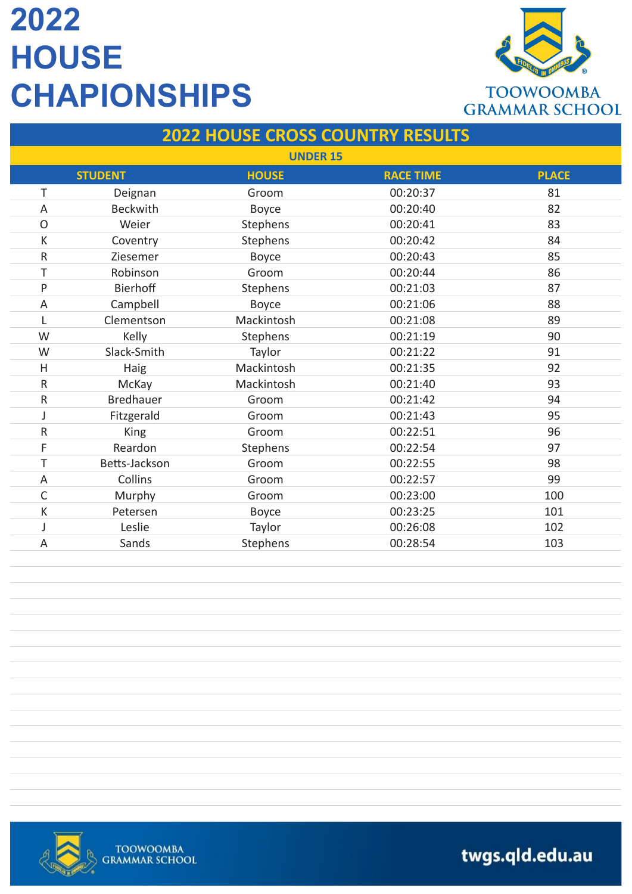

#### **2022 HOUSE CROSS COUNTRY RESULTS**

|                | <b>UNDER 15</b>  |              |                  |              |  |
|----------------|------------------|--------------|------------------|--------------|--|
|                | <b>STUDENT</b>   | <b>HOUSE</b> | <b>RACE TIME</b> | <b>PLACE</b> |  |
| T              | Deignan          | Groom        | 00:20:37         | 81           |  |
| A              | <b>Beckwith</b>  | Boyce        | 00:20:40         | 82           |  |
| $\circ$        | Weier            | Stephens     | 00:20:41         | 83           |  |
| К              | Coventry         | Stephens     | 00:20:42         | 84           |  |
| ${\sf R}$      | Ziesemer         | <b>Boyce</b> | 00:20:43         | 85           |  |
| T              | Robinson         | Groom        | 00:20:44         | 86           |  |
| P              | <b>Bierhoff</b>  | Stephens     | 00:21:03         | 87           |  |
| A              | Campbell         | <b>Boyce</b> | 00:21:06         | 88           |  |
| L              | Clementson       | Mackintosh   | 00:21:08         | 89           |  |
| W              | Kelly            | Stephens     | 00:21:19         | 90           |  |
| W              | Slack-Smith      | Taylor       | 00:21:22         | 91           |  |
| H              | Haig             | Mackintosh   | 00:21:35         | 92           |  |
| ${\sf R}$      | McKay            | Mackintosh   | 00:21:40         | 93           |  |
| ${\sf R}$      | <b>Bredhauer</b> | Groom        | 00:21:42         | 94           |  |
| J              | Fitzgerald       | Groom        | 00:21:43         | 95           |  |
| ${\sf R}$      | <b>King</b>      | Groom        | 00:22:51         | 96           |  |
| F              | Reardon          | Stephens     | 00:22:54         | 97           |  |
| T              | Betts-Jackson    | Groom        | 00:22:55         | 98           |  |
| Α              | Collins          | Groom        | 00:22:57         | 99           |  |
| $\mathsf{C}$   | Murphy           | Groom        | 00:23:00         | 100          |  |
| К              | Petersen         | <b>Boyce</b> | 00:23:25         | 101          |  |
| J              | Leslie           | Taylor       | 00:26:08         | 102          |  |
| $\overline{A}$ | Sands            | Stephens     | 00:28:54         | 103          |  |

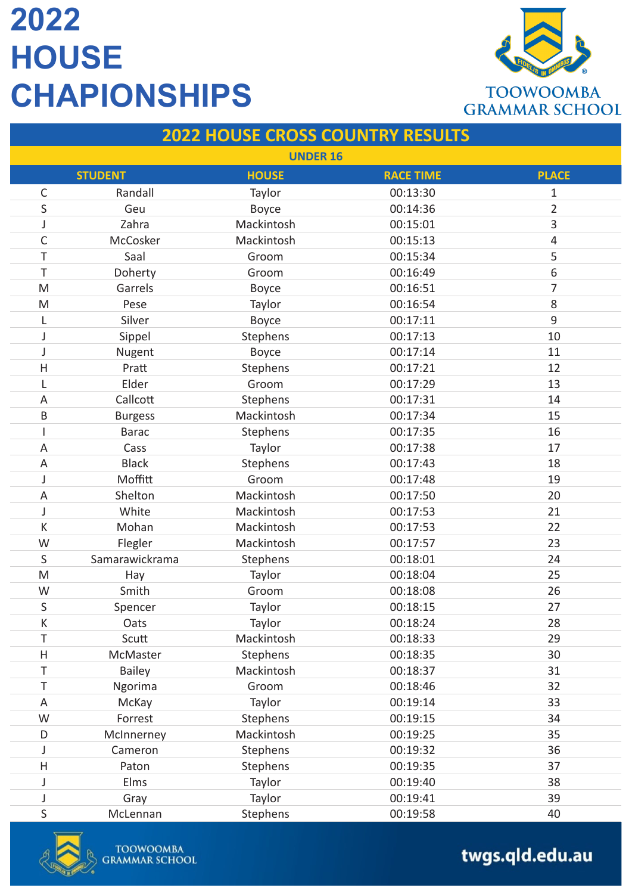

#### **2022 HOUSE CROSS COUNTRY RESULTS**

| <b>UNDER 16</b>           |                |              |                  |                |
|---------------------------|----------------|--------------|------------------|----------------|
|                           | <b>STUDENT</b> | <b>HOUSE</b> | <b>RACE TIME</b> | <b>PLACE</b>   |
| C                         | Randall        | Taylor       | 00:13:30         | $\mathbf{1}$   |
| S                         | Geu            | Boyce        | 00:14:36         | $\overline{2}$ |
| J                         | Zahra          | Mackintosh   | 00:15:01         | 3              |
| C                         | McCosker       | Mackintosh   | 00:15:13         | 4              |
| T                         | Saal           | Groom        | 00:15:34         | 5              |
| T                         | Doherty        | Groom        | 00:16:49         | 6              |
| M                         | Garrels        | Boyce        | 00:16:51         | 7              |
| M                         | Pese           | Taylor       | 00:16:54         | 8              |
| L                         | Silver         | Boyce        | 00:17:11         | 9              |
| J                         | Sippel         | Stephens     | 00:17:13         | 10             |
| J                         | Nugent         | <b>Boyce</b> | 00:17:14         | 11             |
| H                         | Pratt          | Stephens     | 00:17:21         | 12             |
| L                         | Elder          | Groom        | 00:17:29         | 13             |
| $\mathsf A$               | Callcott       | Stephens     | 00:17:31         | 14             |
| $\mathsf B$               | <b>Burgess</b> | Mackintosh   | 00:17:34         | 15             |
| I                         | <b>Barac</b>   | Stephens     | 00:17:35         | 16             |
| A                         | Cass           | Taylor       | 00:17:38         | 17             |
| $\mathsf A$               | <b>Black</b>   | Stephens     | 00:17:43         | 18             |
| J                         | Moffitt        | Groom        | 00:17:48         | 19             |
| $\mathsf A$               | Shelton        | Mackintosh   | 00:17:50         | 20             |
| J                         | White          | Mackintosh   | 00:17:53         | 21             |
| К                         | Mohan          | Mackintosh   | 00:17:53         | 22             |
| W                         | Flegler        | Mackintosh   | 00:17:57         | 23             |
| S                         | Samarawickrama | Stephens     | 00:18:01         | 24             |
| M                         | Hay            | Taylor       | 00:18:04         | 25             |
| W                         | Smith          | Groom        | 00:18:08         | 26             |
| S                         | Spencer        | Taylor       | 00:18:15         | 27             |
| K                         | Oats           | Taylor       | 00:18:24         | 28             |
| T                         | Scutt          | Mackintosh   | 00:18:33         | 29             |
| $\boldsymbol{\mathsf{H}}$ | McMaster       | Stephens     | 00:18:35         | 30             |
| Τ                         | Bailey         | Mackintosh   | 00:18:37         | 31             |
| T                         | Ngorima        | Groom        | 00:18:46         | 32             |
| A                         | McKay          | Taylor       | 00:19:14         | 33             |
| W                         | Forrest        | Stephens     | 00:19:15         | 34             |
| D                         | McInnerney     | Mackintosh   | 00:19:25         | 35             |
| J                         | Cameron        | Stephens     | 00:19:32         | 36             |
| H                         | Paton          | Stephens     | 00:19:35         | 37             |
| J                         | Elms           | Taylor       | 00:19:40         | 38             |
| J                         | Gray           | Taylor       | 00:19:41         | 39             |
| S                         | McLennan       | Stephens     | 00:19:58         | 40             |

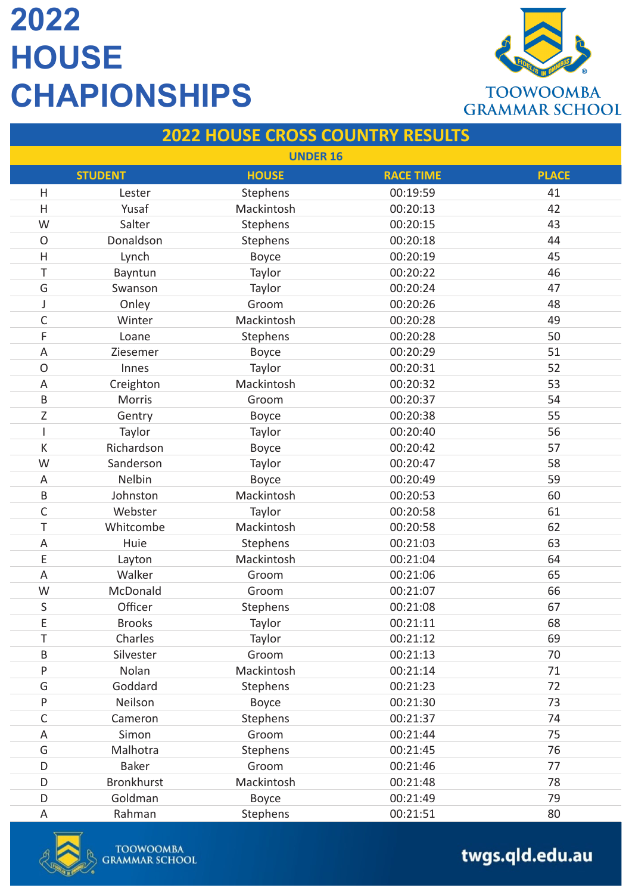

#### **2022 HOUSE CROSS COUNTRY RESULTS**

| <b>UNDER 16</b> |                   |              |                  |              |
|-----------------|-------------------|--------------|------------------|--------------|
|                 | <b>STUDENT</b>    | <b>HOUSE</b> | <b>RACE TIME</b> | <b>PLACE</b> |
| Η               | Lester            | Stephens     | 00:19:59         | 41           |
| $\mathsf{H}$    | Yusaf             | Mackintosh   | 00:20:13         | 42           |
| W               | Salter            | Stephens     | 00:20:15         | 43           |
| $\mathsf{O}$    | Donaldson         | Stephens     | 00:20:18         | 44           |
| $\mathsf{H}$    | Lynch             | <b>Boyce</b> | 00:20:19         | 45           |
| T               | Bayntun           | Taylor       | 00:20:22         | 46           |
| G               | Swanson           | Taylor       | 00:20:24         | 47           |
| J               | Onley             | Groom        | 00:20:26         | 48           |
| $\mathsf C$     | Winter            | Mackintosh   | 00:20:28         | 49           |
| F               | Loane             | Stephens     | 00:20:28         | 50           |
| A               | Ziesemer          | <b>Boyce</b> | 00:20:29         | 51           |
| $\mathsf{O}$    | Innes             | Taylor       | 00:20:31         | 52           |
| А               | Creighton         | Mackintosh   | 00:20:32         | 53           |
| B               | <b>Morris</b>     | Groom        | 00:20:37         | 54           |
| Ζ               | Gentry            | <b>Boyce</b> | 00:20:38         | 55           |
| I               | Taylor            | Taylor       | 00:20:40         | 56           |
| К               | Richardson        | <b>Boyce</b> | 00:20:42         | 57           |
| W               | Sanderson         | Taylor       | 00:20:47         | 58           |
| A               | Nelbin            | <b>Boyce</b> | 00:20:49         | 59           |
| B               | Johnston          | Mackintosh   | 00:20:53         | 60           |
| C               | Webster           | Taylor       | 00:20:58         | 61           |
| T               | Whitcombe         | Mackintosh   | 00:20:58         | 62           |
| Α               | Huie              | Stephens     | 00:21:03         | 63           |
| E               | Layton            | Mackintosh   | 00:21:04         | 64           |
| $\overline{A}$  | Walker            | Groom        | 00:21:06         | 65           |
| W               | McDonald          | Groom        | 00:21:07         | 66           |
| S               | Officer           | Stephens     | 00:21:08         | 67           |
| E               | <b>Brooks</b>     | Taylor       | 00:21:11         | 68           |
| T               | Charles           | Taylor       | 00:21:12         | 69           |
| B               | Silvester         | Groom        | 00:21:13         | 70           |
| P               | Nolan             | Mackintosh   | 00:21:14         | 71           |
| G               | Goddard           | Stephens     | 00:21:23         | 72           |
| P               | Neilson           | Boyce        | 00:21:30         | 73           |
| $\mathsf C$     | Cameron           | Stephens     | 00:21:37         | 74           |
| A               | Simon             | Groom        | 00:21:44         | 75           |
| G               | Malhotra          | Stephens     | 00:21:45         | 76           |
| D               | <b>Baker</b>      | Groom        | 00:21:46         | 77           |
| D               | <b>Bronkhurst</b> | Mackintosh   | 00:21:48         | 78           |
| D               | Goldman           | Boyce        | 00:21:49         | 79           |
| $\mathsf A$     | Rahman            | Stephens     | 00:21:51         | 80           |

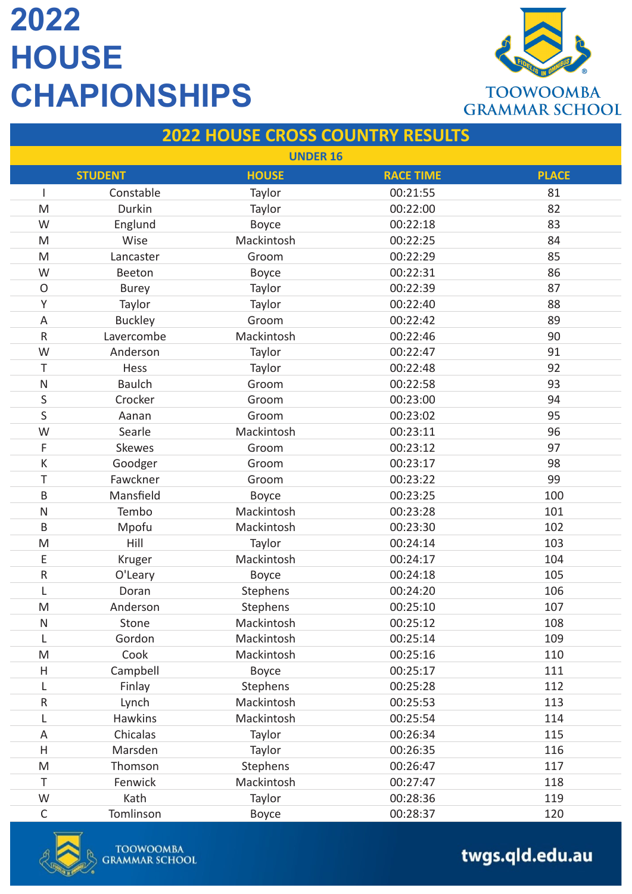

### **2022 HOUSE CROSS COUNTRY RESULTS**

| <b>UNDER 16</b> |                |              |                  |              |
|-----------------|----------------|--------------|------------------|--------------|
|                 | <b>STUDENT</b> | <b>HOUSE</b> | <b>RACE TIME</b> | <b>PLACE</b> |
|                 | Constable      | Taylor       | 00:21:55         | 81           |
| M               | Durkin         | Taylor       | 00:22:00         | 82           |
| W               | Englund        | Boyce        | 00:22:18         | 83           |
| M               | Wise           | Mackintosh   | 00:22:25         | 84           |
| M               | Lancaster      | Groom        | 00:22:29         | 85           |
| W               | Beeton         | Boyce        | 00:22:31         | 86           |
| $\circ$         | <b>Burey</b>   | Taylor       | 00:22:39         | 87           |
| Υ               | Taylor         | Taylor       | 00:22:40         | 88           |
| A               | <b>Buckley</b> | Groom        | 00:22:42         | 89           |
| ${\sf R}$       | Lavercombe     | Mackintosh   | 00:22:46         | 90           |
| W               | Anderson       | Taylor       | 00:22:47         | 91           |
| T               | Hess           | Taylor       | 00:22:48         | 92           |
| $\mathsf{N}$    | <b>Baulch</b>  | Groom        | 00:22:58         | 93           |
| $\sf S$         | Crocker        | Groom        | 00:23:00         | 94           |
| S               | Aanan          | Groom        | 00:23:02         | 95           |
| W               | Searle         | Mackintosh   | 00:23:11         | 96           |
| F               | Skewes         | Groom        | 00:23:12         | 97           |
| К               | Goodger        | Groom        | 00:23:17         | 98           |
| T               | Fawckner       | Groom        | 00:23:22         | 99           |
| B               | Mansfield      | Boyce        | 00:23:25         | 100          |
| $\mathsf{N}$    | Tembo          | Mackintosh   | 00:23:28         | 101          |
| B               | Mpofu          | Mackintosh   | 00:23:30         | 102          |
| M               | Hill           | Taylor       | 00:24:14         | 103          |
| E               | Kruger         | Mackintosh   | 00:24:17         | 104          |
| ${\sf R}$       | O'Leary        | Boyce        | 00:24:18         | 105          |
| L               | Doran          | Stephens     | 00:24:20         | 106          |
| M               | Anderson       | Stephens     | 00:25:10         | 107          |
| ${\sf N}$       | Stone          | Mackintosh   | 00:25:12         | 108          |
| L               | Gordon         | Mackintosh   | 00:25:14         | 109          |
| M               | Cook           | Mackintosh   | 00:25:16         | 110          |
| Η               | Campbell       | Boyce        | 00:25:17         | 111          |
| L               | Finlay         | Stephens     | 00:25:28         | 112          |
| ${\sf R}$       | Lynch          | Mackintosh   | 00:25:53         | 113          |
| L               | Hawkins        | Mackintosh   | 00:25:54         | 114          |
| A               | Chicalas       | Taylor       | 00:26:34         | 115          |
| H               | Marsden        | Taylor       | 00:26:35         | 116          |
| M               | Thomson        | Stephens     | 00:26:47         | 117          |
| T               | Fenwick        | Mackintosh   | 00:27:47         | 118          |
| W               | Kath           | Taylor       | 00:28:36         | 119          |
| $\mathsf C$     | Tomlinson      | Boyce        | 00:28:37         | 120          |

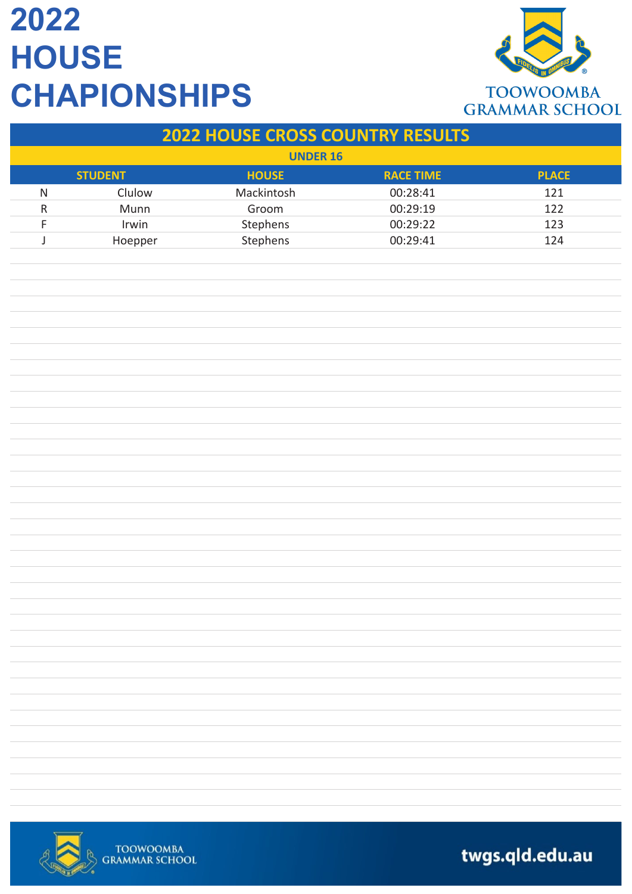

|                 |                |                                         |                  | <b>UKANINAR SUNUUL</b> |  |  |
|-----------------|----------------|-----------------------------------------|------------------|------------------------|--|--|
|                 |                | <b>2022 HOUSE CROSS COUNTRY RESULTS</b> |                  |                        |  |  |
| <b>UNDER 16</b> |                |                                         |                  |                        |  |  |
|                 | <b>STUDENT</b> | <b>HOUSE</b>                            | <b>RACE TIME</b> | <b>PLACE</b>           |  |  |
| $\mathsf{N}$    | Clulow         | Mackintosh                              | 00:28:41         | 121                    |  |  |
| ${\sf R}$       | Munn           | Groom                                   | 00:29:19         | 122                    |  |  |
| F               | Irwin          | Stephens                                | 00:29:22         | 123                    |  |  |
| J               | Hoepper        | Stephens                                | 00:29:41         | 124                    |  |  |
|                 |                |                                         |                  |                        |  |  |
|                 |                |                                         |                  |                        |  |  |
|                 |                |                                         |                  |                        |  |  |
|                 |                |                                         |                  |                        |  |  |
|                 |                |                                         |                  |                        |  |  |
|                 |                |                                         |                  |                        |  |  |
|                 |                |                                         |                  |                        |  |  |
|                 |                |                                         |                  |                        |  |  |
|                 |                |                                         |                  |                        |  |  |
|                 |                |                                         |                  |                        |  |  |
|                 |                |                                         |                  |                        |  |  |
|                 |                |                                         |                  |                        |  |  |
|                 |                |                                         |                  |                        |  |  |
|                 |                |                                         |                  |                        |  |  |
|                 |                |                                         |                  |                        |  |  |
|                 |                |                                         |                  |                        |  |  |
|                 |                |                                         |                  |                        |  |  |
|                 |                |                                         |                  |                        |  |  |
|                 |                |                                         |                  |                        |  |  |
|                 |                |                                         |                  |                        |  |  |
|                 |                |                                         |                  |                        |  |  |
|                 |                |                                         |                  |                        |  |  |
|                 |                |                                         |                  |                        |  |  |
|                 |                |                                         |                  |                        |  |  |
|                 |                |                                         |                  |                        |  |  |
|                 |                |                                         |                  |                        |  |  |
|                 |                |                                         |                  |                        |  |  |
|                 |                |                                         |                  |                        |  |  |
|                 |                |                                         |                  |                        |  |  |
|                 |                |                                         |                  |                        |  |  |
|                 |                |                                         |                  |                        |  |  |
|                 |                |                                         |                  |                        |  |  |
|                 |                |                                         |                  |                        |  |  |
|                 |                |                                         |                  |                        |  |  |



TOOWOOMBA<br>GRAMMAR SCHOOL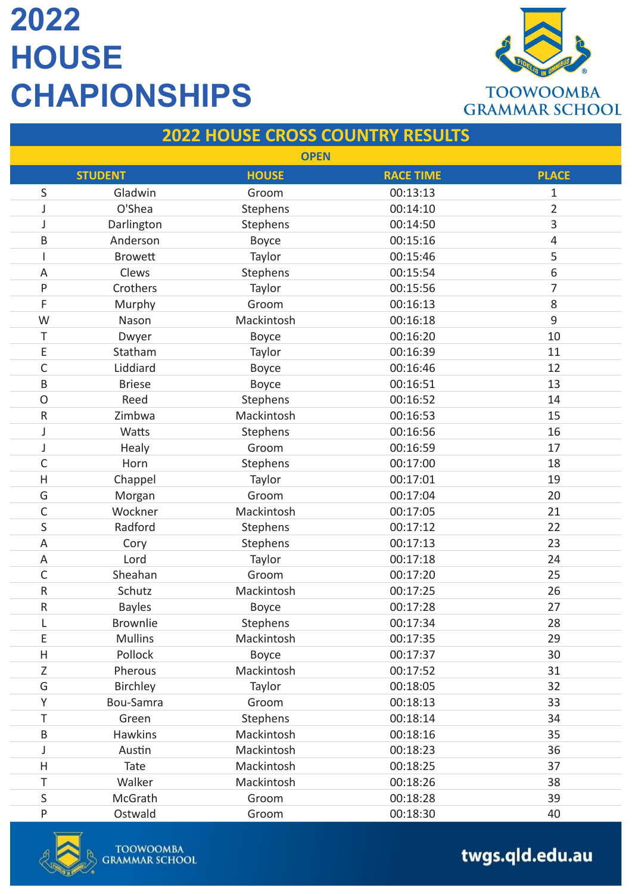

| <b>2022 HOUSE CROSS COUNTRY RESULTS</b> |                |              |                  |                |
|-----------------------------------------|----------------|--------------|------------------|----------------|
|                                         |                | <b>OPEN</b>  |                  |                |
|                                         | <b>STUDENT</b> | <b>HOUSE</b> | <b>RACE TIME</b> | <b>PLACE</b>   |
| S                                       | Gladwin        | Groom        | 00:13:13         | 1              |
|                                         | O'Shea         | Stephens     | 00:14:10         | $\overline{2}$ |
| J                                       | Darlington     | Stephens     | 00:14:50         | 3              |
| B                                       | Anderson       | <b>Boyce</b> | 00:15:16         | 4              |
|                                         | <b>Browett</b> | Taylor       | 00:15:46         | 5              |
| Α                                       | Clews          | Stephens     | 00:15:54         | 6              |
| P                                       | Crothers       | Taylor       | 00:15:56         | 7              |
| F                                       | Murphy         | Groom        | 00:16:13         | 8              |
| W                                       | Nason          | Mackintosh   | 00:16:18         | 9              |
| T                                       | Dwyer          | Boyce        | 00:16:20         | 10             |
| E                                       | Statham        | Taylor       | 00:16:39         | 11             |
| C                                       | Liddiard       | Boyce        | 00:16:46         | 12             |
| B                                       | <b>Briese</b>  | Boyce        | 00:16:51         | 13             |
| O                                       | Reed           | Stephens     | 00:16:52         | 14             |
| ${\sf R}$                               | Zimbwa         | Mackintosh   | 00:16:53         | 15             |
|                                         | Watts          | Stephens     | 00:16:56         | 16             |
| J                                       | Healy          | Groom        | 00:16:59         | 17             |
| C                                       | Horn           | Stephens     | 00:17:00         | 18             |
| $\overline{\mathsf{H}}$                 | Chappel        | Taylor       | 00:17:01         | 19             |
| G                                       | Morgan         | Groom        | 00:17:04         | 20             |
| C                                       | Wockner        | Mackintosh   | 00:17:05         | 21             |
| S                                       | Radford        | Stephens     | 00:17:12         | 22             |
| A                                       | Cory           | Stephens     | 00:17:13         | 23             |
| A                                       | Lord           | Taylor       | 00:17:18         | 24             |
| C                                       | Sheahan        | Groom        | 00:17:20         | 25             |
| R                                       | Schutz         | Mackintosh   | 00:17:25         | 26             |
| R.                                      | <b>Bayles</b>  | Boyce        | 00:17:28         | 27             |
|                                         | Brownlie       | Stephens     | 00:17:34         | 28             |
| E                                       | <b>Mullins</b> | Mackintosh   | 00:17:35         | 29             |
| Η                                       | Pollock        | Boyce        | 00:17:37         | 30             |
| Ζ                                       | Pherous        | Mackintosh   | 00:17:52         | 31             |
| G                                       | Birchley       | Taylor       | 00:18:05         | 32             |
| Υ                                       | Bou-Samra      | Groom        | 00:18:13         | 33             |
| Τ                                       | Green          | Stephens     | 00:18:14         | 34             |
| B                                       | <b>Hawkins</b> | Mackintosh   | 00:18:16         | 35             |
|                                         | Austin         | Mackintosh   | 00:18:23         | 36             |
| Η                                       | Tate           | Mackintosh   | 00:18:25         | 37             |
| Τ                                       | Walker         | Mackintosh   | 00:18:26         | 38             |
| $\sf S$                                 | McGrath        | Groom        | 00:18:28         | 39             |
| P                                       | Ostwald        | Groom        | 00:18:30         | 40             |

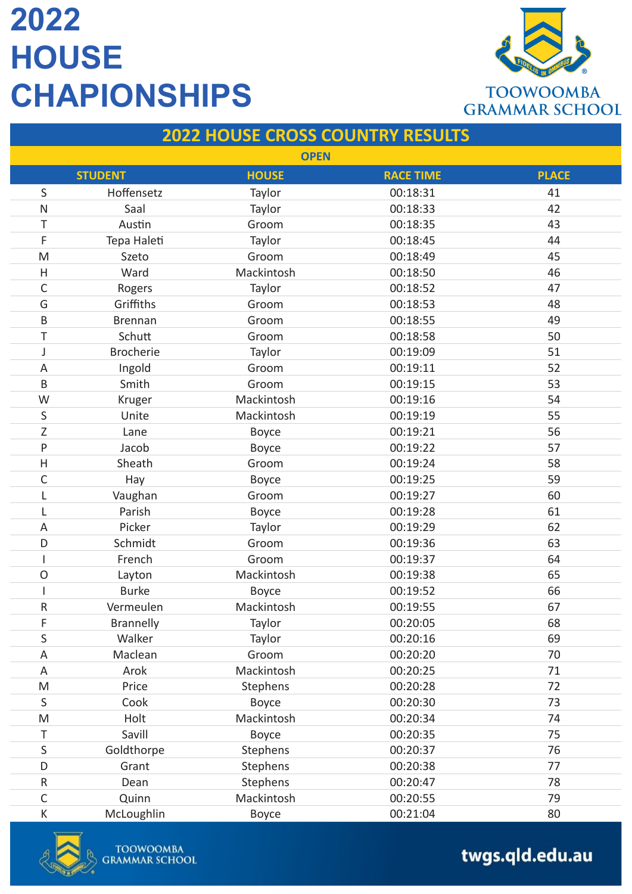

#### **2022 HOUSE CROSS COUNTRY RESULTS OPEN STUDENT HOUSE RACE TIME PLACE** S Hoffensetz Taylor 100:18:31 41 N Saal Taylor 00:18:33 42 T Austin Groom 00:18:35 43 F Tepa Haleti Taylor 00:18:45 44 M Szeto Groom 00:18:49 45 H Ward Mackintosh 00:18:50 46 C Rogers Taylor 700:18:52 47 G Griffiths Groom 00:18:53 48 B Brennan Groom 00:18:55 49 T Schutt Groom 00:18:58 50 J Brocherie Taylor 00:19:09 51 A 1ngold Groom 00:19:11 52 B 57 Smith Groom 00:19:15 W Kruger Mackintosh 00:19:16 54 S Unite Mackintosh 00:19:19 55 Z Lane Boyce 00:19:21 56 P 37 Jacob 37 H Sheath Groom 00:19:24 58 C Hay Boyce 00:19:25 59 L Vaughan Groom 00:19:27 60 L Parish Boyce 00:19:28 61 A Picker Taylor D0:19:29 62 D Schmidt Groom 00:19:36 63 I French Groom 00:19:37 64 O Layton Mackintosh 00:19:38 65 I Burke Boyce 00:19:52 66 R Vermeulen Mackintosh 00:19:55 67 F Brannelly **Taylor** COO:20:05 68 S Walker Taylor 00:20:16 69 A 1991 Maclean Maclean Groom 00:20:20 70 A Arok Mackintosh 00:20:25 71 M Price Stephens 00:20:28 72 S Cook Boyce 00:20:30 73 M Holt Mackintosh 00:20:34 74 T Savill Boyce 00:20:35 75 S Goldthorpe Stephens 00:20:37 56 D Grant Stephens 00:20:38 77 R Dean Stephens 00:20:47 78 C Quinn Mackintosh 00:20:55 79

K McLoughlin Boyce 00:21:04 80

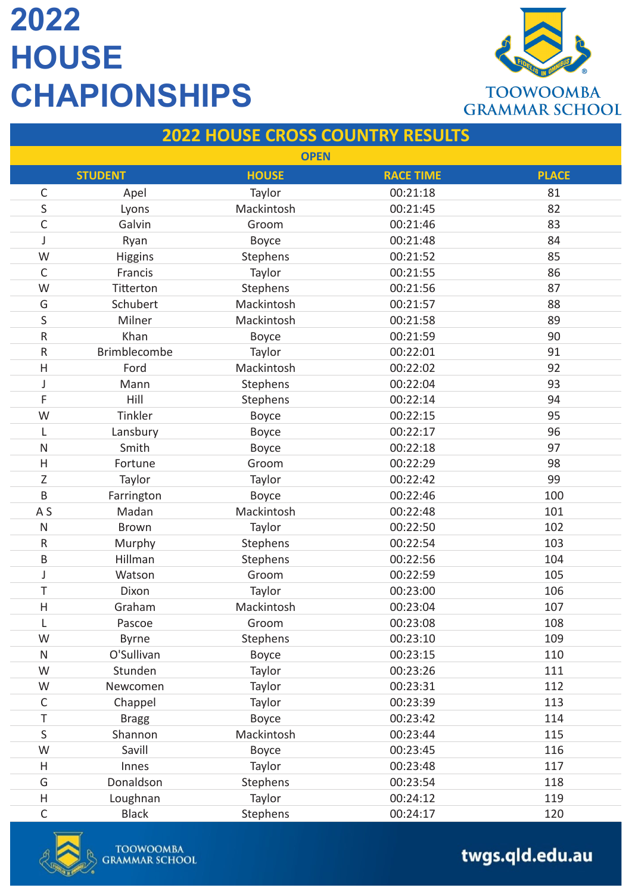

| <b>2022 HOUSE CROSS COUNTRY RESULTS</b> |                |              |                  |              |
|-----------------------------------------|----------------|--------------|------------------|--------------|
| <b>OPEN</b>                             |                |              |                  |              |
|                                         | <b>STUDENT</b> | <b>HOUSE</b> | <b>RACE TIME</b> | <b>PLACE</b> |
| $\mathsf C$                             | Apel           | Taylor       | 00:21:18         | 81           |
| S                                       | Lyons          | Mackintosh   | 00:21:45         | 82           |
| C                                       | Galvin         | Groom        | 00:21:46         | 83           |
|                                         | Ryan           | Boyce        | 00:21:48         | 84           |
| W                                       | Higgins        | Stephens     | 00:21:52         | 85           |
| $\mathsf{C}$                            | Francis        | Taylor       | 00:21:55         | 86           |
| W                                       | Titterton      | Stephens     | 00:21:56         | 87           |
| G                                       | Schubert       | Mackintosh   | 00:21:57         | 88           |
| S                                       | Milner         | Mackintosh   | 00:21:58         | 89           |
| R                                       | Khan           | Boyce        | 00:21:59         | 90           |
| ${\sf R}$                               | Brimblecombe   | Taylor       | 00:22:01         | 91           |
| H                                       | Ford           | Mackintosh   | 00:22:02         | 92           |
| J                                       | Mann           | Stephens     | 00:22:04         | 93           |
| F                                       | Hill           | Stephens     | 00:22:14         | 94           |
| W                                       | Tinkler        | Boyce        | 00:22:15         | 95           |
|                                         | Lansbury       | Boyce        | 00:22:17         | 96           |
| ${\sf N}$                               | Smith          | Boyce        | 00:22:18         | 97           |
| H                                       | Fortune        | Groom        | 00:22:29         | 98           |
| Z                                       | Taylor         | Taylor       | 00:22:42         | 99           |
| B                                       | Farrington     | Boyce        | 00:22:46         | 100          |
| A <sub>S</sub>                          | Madan          | Mackintosh   | 00:22:48         | 101          |
| N                                       | <b>Brown</b>   | Taylor       | 00:22:50         | 102          |
| $\mathsf{R}$                            | Murphy         | Stephens     | 00:22:54         | 103          |
| B                                       | Hillman        | Stephens     | 00:22:56         | 104          |
| J                                       | Watson         | Groom        | 00:22:59         | 105          |
| Τ                                       | Dixon          | Taylor       | 00:23:00         | 106          |
| H                                       | Graham         | Mackintosh   | 00:23:04         | 107          |
|                                         | Pascoe         | Groom        | 00:23:08         | 108          |
| W                                       | <b>Byrne</b>   | Stephens     | 00:23:10         | 109          |
| ${\sf N}$                               | O'Sullivan     | Boyce        | 00:23:15         | 110          |
| W                                       | Stunden        | Taylor       | 00:23:26         | 111          |
| W                                       | Newcomen       | Taylor       | 00:23:31         | 112          |
| $\mathsf C$                             | Chappel        | Taylor       | 00:23:39         | 113          |
| Τ                                       | <b>Bragg</b>   | Boyce        | 00:23:42         | 114          |
| $\mathsf S$                             | Shannon        | Mackintosh   | 00:23:44         | 115          |
| W                                       | Savill         | Boyce        | 00:23:45         | 116          |
| H                                       | Innes          | Taylor       | 00:23:48         | 117          |
| G                                       | Donaldson      | Stephens     | 00:23:54         | 118          |
| Н                                       | Loughnan       | Taylor       | 00:24:12         | 119          |
| $\mathsf C$                             | <b>Black</b>   | Stephens     | 00:24:17         | 120          |

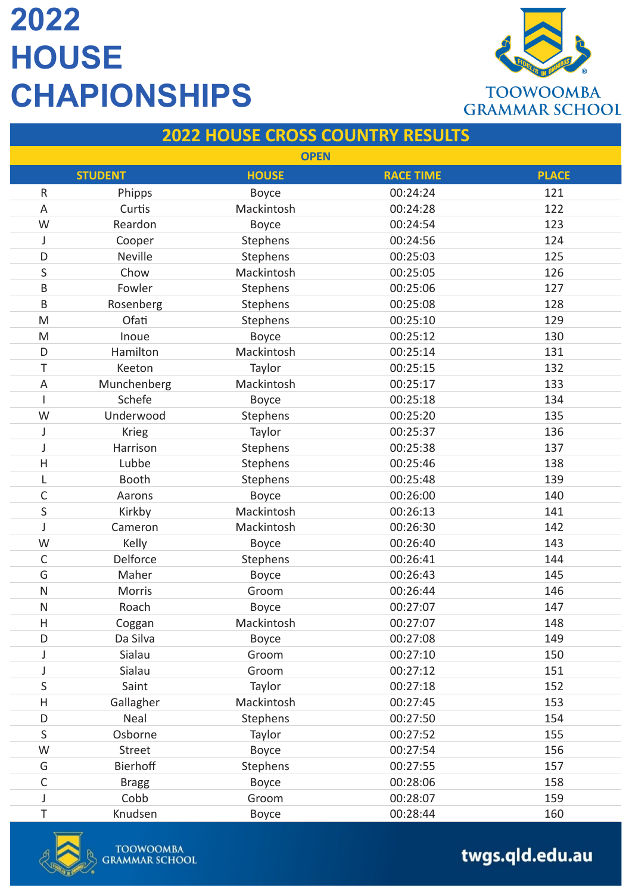

| <b>2022 HOUSE CROSS COUNTRY RESULTS</b> |                |              |                  |              |
|-----------------------------------------|----------------|--------------|------------------|--------------|
| <b>OPEN</b>                             |                |              |                  |              |
|                                         | <b>STUDENT</b> | <b>HOUSE</b> | <b>RACE TIME</b> | <b>PLACE</b> |
| ${\sf R}$                               | Phipps         | Boyce        | 00:24:24         | 121          |
| A                                       | Curtis         | Mackintosh   | 00:24:28         | 122          |
| W                                       | Reardon        | Boyce        | 00:24:54         | 123          |
| J                                       | Cooper         | Stephens     | 00:24:56         | 124          |
| D                                       | <b>Neville</b> | Stephens     | 00:25:03         | 125          |
| S                                       | Chow           | Mackintosh   | 00:25:05         | 126          |
| B                                       | Fowler         | Stephens     | 00:25:06         | 127          |
| B                                       | Rosenberg      | Stephens     | 00:25:08         | 128          |
| M                                       | Ofati          | Stephens     | 00:25:10         | 129          |
| M                                       | Inoue          | Boyce        | 00:25:12         | 130          |
| D                                       | Hamilton       | Mackintosh   | 00:25:14         | 131          |
| Τ                                       | Keeton         | Taylor       | 00:25:15         | 132          |
| A                                       | Munchenberg    | Mackintosh   | 00:25:17         | 133          |
|                                         | Schefe         | Boyce        | 00:25:18         | 134          |
| W                                       | Underwood      | Stephens     | 00:25:20         | 135          |
| J                                       | <b>Krieg</b>   | Taylor       | 00:25:37         | 136          |
| J                                       | Harrison       | Stephens     | 00:25:38         | 137          |
| $\overline{\mathsf{H}}$                 | Lubbe          | Stephens     | 00:25:46         | 138          |
| L                                       | <b>Booth</b>   | Stephens     | 00:25:48         | 139          |
| C                                       | Aarons         | Boyce        | 00:26:00         | 140          |
| S                                       | Kirkby         | Mackintosh   | 00:26:13         | 141          |
| J                                       | Cameron        | Mackintosh   | 00:26:30         | 142          |
| W                                       | Kelly          | Boyce        | 00:26:40         | 143          |
| C                                       | Delforce       | Stephens     | 00:26:41         | 144          |
| G                                       | Maher          | Boyce        | 00:26:43         | 145          |
| N                                       | Morris         | Groom        | 00:26:44         | 146          |
| N                                       | Roach          | Boyce        | 00:27:07         | 147          |
| H                                       | Coggan         | Mackintosh   | 00:27:07         | 148          |
| D                                       | Da Silva       | Boyce        | 00:27:08         | 149          |
| J                                       | Sialau         | Groom        | 00:27:10         | 150          |
| J                                       | Sialau         | Groom        | 00:27:12         | 151          |
| S                                       | Saint          | Taylor       | 00:27:18         | 152          |
| Н                                       | Gallagher      | Mackintosh   | 00:27:45         | 153          |
| D                                       | Neal           | Stephens     | 00:27:50         | 154          |
| S                                       | Osborne        | Taylor       | 00:27:52         | 155          |
| W                                       | Street         | Boyce        | 00:27:54         | 156          |
| G                                       | Bierhoff       | Stephens     | 00:27:55         | 157          |
| C                                       | <b>Bragg</b>   | Boyce        | 00:28:06         | 158          |
| J                                       | Cobb           | Groom        | 00:28:07         | 159          |
| T                                       | Knudsen        | <b>Boyce</b> | 00:28:44         | 160          |